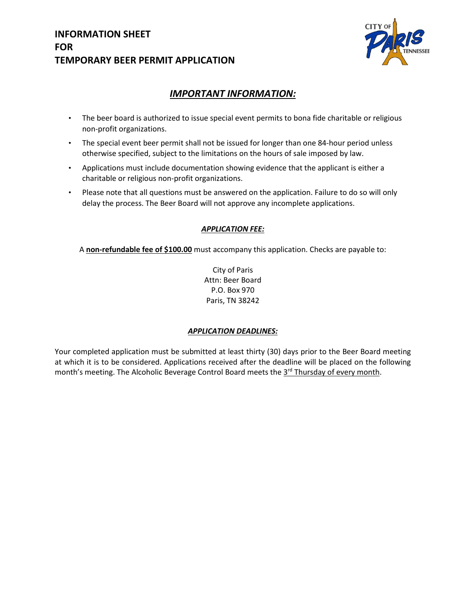

## *IMPORTANT INFORMATION:*

- The beer board is authorized to issue special event permits to bona fide charitable or religious non-profit organizations.
- The special event beer permit shall not be issued for longer than one 84-hour period unless otherwise specified, subject to the limitations on the hours of sale imposed by law.
- Applications must include documentation showing evidence that the applicant is either a charitable or religious non-profit organizations.
- Please note that all questions must be answered on the application. Failure to do so will only delay the process. The Beer Board will not approve any incomplete applications.

#### *APPLICATION FEE:*

A **non-refundable fee of \$100.00** must accompany this application. Checks are payable to:

City of Paris Attn: Beer Board P.O. Box 970 Paris, TN 38242

#### *APPLICATION DEADLINES:*

Your completed application must be submitted at least thirty (30) days prior to the Beer Board meeting at which it is to be considered. Applications received after the deadline will be placed on the following month's meeting. The Alcoholic Beverage Control Board meets the 3<sup>rd</sup> Thursday of every month.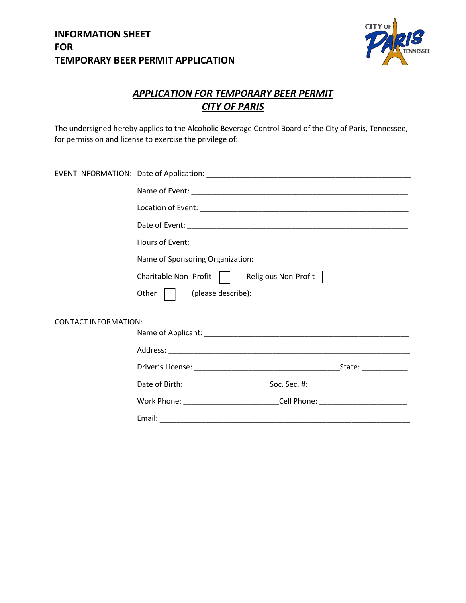

# *APPLICATION FOR TEMPORARY BEER PERMIT CITY OF PARIS*

The undersigned hereby applies to the Alcoholic Beverage Control Board of the City of Paris, Tennessee, for permission and license to exercise the privilege of:

|                             | Charitable Non-Profit    <br>Religious Non-Profit                                |  |  |
|-----------------------------|----------------------------------------------------------------------------------|--|--|
|                             | Other $\vert \vert$                                                              |  |  |
|                             |                                                                                  |  |  |
| <b>CONTACT INFORMATION:</b> |                                                                                  |  |  |
|                             |                                                                                  |  |  |
|                             |                                                                                  |  |  |
|                             |                                                                                  |  |  |
|                             |                                                                                  |  |  |
|                             | Work Phone: ____________________________Cell Phone: ____________________________ |  |  |
|                             |                                                                                  |  |  |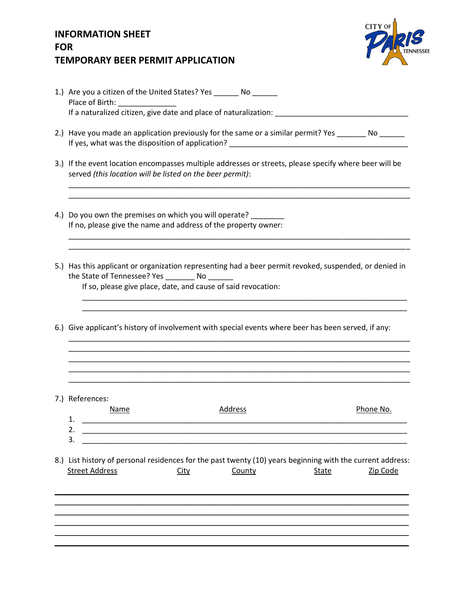

| 1.) Are you a citizen of the United States? Yes No<br>Place of Birth:<br>If a naturalized citizen, give date and place of naturalization:                           |  |  |
|---------------------------------------------------------------------------------------------------------------------------------------------------------------------|--|--|
| 2.) Have you made an application previously for the same or a similar permit? Yes<br>No l<br>If yes, what was the disposition of application?                       |  |  |
| 3.) If the event location encompasses multiple addresses or streets, please specify where beer will be<br>served (this location will be listed on the beer permit): |  |  |

\_\_\_\_\_\_\_\_\_\_\_\_\_\_\_\_\_\_\_\_\_\_\_\_\_\_\_\_\_\_\_\_\_\_\_\_\_\_\_\_\_\_\_\_\_\_\_\_\_\_\_\_\_\_\_\_\_\_\_\_\_\_\_\_\_\_\_\_\_\_\_\_\_\_\_\_\_\_\_\_\_\_

\_\_\_\_\_\_\_\_\_\_\_\_\_\_\_\_\_\_\_\_\_\_\_\_\_\_\_\_\_\_\_\_\_\_\_\_\_\_\_\_\_\_\_\_\_\_\_\_\_\_\_\_\_\_\_\_\_\_\_\_\_\_\_\_\_\_\_\_\_\_\_\_\_\_\_\_\_\_\_\_\_\_ \_\_\_\_\_\_\_\_\_\_\_\_\_\_\_\_\_\_\_\_\_\_\_\_\_\_\_\_\_\_\_\_\_\_\_\_\_\_\_\_\_\_\_\_\_\_\_\_\_\_\_\_\_\_\_\_\_\_\_\_\_\_\_\_\_\_\_\_\_\_\_\_\_\_\_\_\_\_\_\_\_\_

\_\_\_\_\_\_\_\_\_\_\_\_\_\_\_\_\_\_\_\_\_\_\_\_\_\_\_\_\_\_\_\_\_\_\_\_\_\_\_\_\_\_\_\_\_\_\_\_\_\_\_\_\_\_\_\_\_\_\_\_\_\_\_\_\_\_\_\_\_\_\_\_\_\_\_\_\_\_

\_\_\_\_\_\_\_\_\_\_\_\_\_\_\_\_\_\_\_\_\_\_\_\_\_\_\_\_\_\_\_\_\_\_\_\_\_\_\_\_\_\_\_\_\_\_\_\_\_\_\_\_\_\_\_\_\_\_\_\_\_\_\_\_\_\_\_\_\_\_\_\_\_\_\_\_\_\_\_\_\_\_ \_\_\_\_\_\_\_\_\_\_\_\_\_\_\_\_\_\_\_\_\_\_\_\_\_\_\_\_\_\_\_\_\_\_\_\_\_\_\_\_\_\_\_\_\_\_\_\_\_\_\_\_\_\_\_\_\_\_\_\_\_\_\_\_\_\_\_\_\_\_\_\_\_\_\_\_\_\_\_\_\_\_

\_\_\_\_\_\_\_\_\_\_\_\_\_\_\_\_\_\_\_\_\_\_\_\_\_\_\_\_\_\_\_\_\_\_\_\_\_\_\_\_\_\_\_\_\_\_\_\_\_\_\_\_\_\_\_\_\_\_\_\_\_\_\_\_\_\_\_\_\_\_\_\_\_\_\_\_\_\_\_\_\_\_

\_\_\_\_\_\_\_\_\_\_\_\_\_\_\_\_\_\_\_\_\_\_\_\_\_\_\_\_\_\_\_\_\_\_\_\_\_\_\_\_\_\_\_\_\_\_\_\_\_\_\_\_\_\_\_\_\_\_\_\_\_\_\_\_\_\_\_\_\_\_\_\_\_\_\_\_\_\_\_\_\_\_ \_\_\_\_\_\_\_\_\_\_\_\_\_\_\_\_\_\_\_\_\_\_\_\_\_\_\_\_\_\_\_\_\_\_\_\_\_\_\_\_\_\_\_\_\_\_\_\_\_\_\_\_\_\_\_\_\_\_\_\_\_\_\_\_\_\_\_\_\_\_\_\_\_\_\_\_\_\_\_\_\_\_

- 4.) Do you own the premises on which you will operate? If no, please give the name and address of the property owner:
- 5.) Has this applicant or organization representing had a beer permit revoked, suspended, or denied in the State of Tennessee? Yes \_\_\_\_\_\_\_ No \_\_\_\_\_\_

If so, please give place, date, and cause of said revocation:

6.) Give applicant's history of involvement with special events where beer has been served, if any:

7.) References:

|    | Name | Address | Phone No. |
|----|------|---------|-----------|
| 1. |      |         |           |
| 2. |      |         |           |
| 3. |      |         |           |
|    |      |         |           |

8.) List history of personal residences for the past twenty (10) years beginning with the current address: Street Address City County County State Zip Code

\_\_\_\_\_\_\_\_\_\_\_\_\_\_\_\_\_\_\_\_\_\_\_\_\_\_\_\_\_\_\_\_\_\_\_\_\_\_\_\_\_\_\_\_\_\_\_\_\_\_\_\_\_\_\_\_\_\_\_\_\_\_\_\_\_\_\_\_\_\_\_\_\_\_\_\_\_\_\_\_\_\_\_\_\_ \_\_\_\_\_\_\_\_\_\_\_\_\_\_\_\_\_\_\_\_\_\_\_\_\_\_\_\_\_\_\_\_\_\_\_\_\_\_\_\_\_\_\_\_\_\_\_\_\_\_\_\_\_\_\_\_\_\_\_\_\_\_\_\_\_\_\_\_\_\_\_\_\_\_\_\_\_\_\_\_\_\_\_\_\_ \_\_\_\_\_\_\_\_\_\_\_\_\_\_\_\_\_\_\_\_\_\_\_\_\_\_\_\_\_\_\_\_\_\_\_\_\_\_\_\_\_\_\_\_\_\_\_\_\_\_\_\_\_\_\_\_\_\_\_\_\_\_\_\_\_\_\_\_\_\_\_\_\_\_\_\_\_\_\_\_\_\_\_\_\_

\_\_\_\_\_\_\_\_\_\_\_\_\_\_\_\_\_\_\_\_\_\_\_\_\_\_\_\_\_\_\_\_\_\_\_\_\_\_\_\_\_\_\_\_\_\_\_\_\_\_\_\_\_\_\_\_\_\_\_\_\_\_\_\_\_\_\_\_\_\_\_\_\_\_\_\_\_\_\_\_\_\_\_\_\_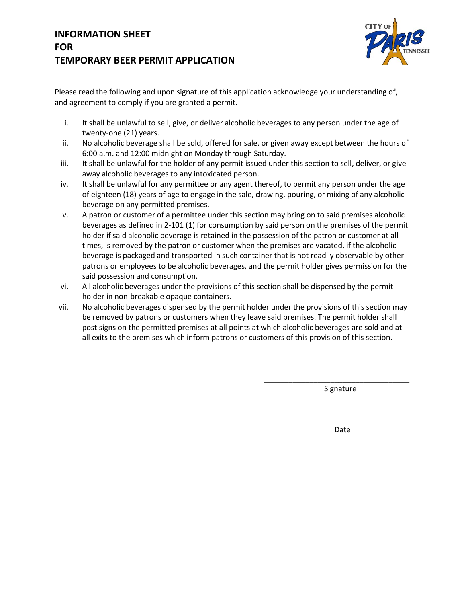

Please read the following and upon signature of this application acknowledge your understanding of, and agreement to comply if you are granted a permit.

- i. It shall be unlawful to sell, give, or deliver alcoholic beverages to any person under the age of twenty-one (21) years.
- ii. No alcoholic beverage shall be sold, offered for sale, or given away except between the hours of 6:00 a.m. and 12:00 midnight on Monday through Saturday.
- iii. It shall be unlawful for the holder of any permit issued under this section to sell, deliver, or give away alcoholic beverages to any intoxicated person.
- iv. It shall be unlawful for any permittee or any agent thereof, to permit any person under the age of eighteen (18) years of age to engage in the sale, drawing, pouring, or mixing of any alcoholic beverage on any permitted premises.
- v. A patron or customer of a permittee under this section may bring on to said premises alcoholic beverages as defined in 2-101 (1) for consumption by said person on the premises of the permit holder if said alcoholic beverage is retained in the possession of the patron or customer at all times, is removed by the patron or customer when the premises are vacated, if the alcoholic beverage is packaged and transported in such container that is not readily observable by other patrons or employees to be alcoholic beverages, and the permit holder gives permission for the said possession and consumption.
- vi. All alcoholic beverages under the provisions of this section shall be dispensed by the permit holder in non-breakable opaque containers.
- vii. No alcoholic beverages dispensed by the permit holder under the provisions of this section may be removed by patrons or customers when they leave said premises. The permit holder shall post signs on the permitted premises at all points at which alcoholic beverages are sold and at all exits to the premises which inform patrons or customers of this provision of this section.

Signature

\_\_\_\_\_\_\_\_\_\_\_\_\_\_\_\_\_\_\_\_\_\_\_\_\_\_\_\_\_\_\_\_\_\_\_

\_\_\_\_\_\_\_\_\_\_\_\_\_\_\_\_\_\_\_\_\_\_\_\_\_\_\_\_\_\_\_\_\_\_\_

Date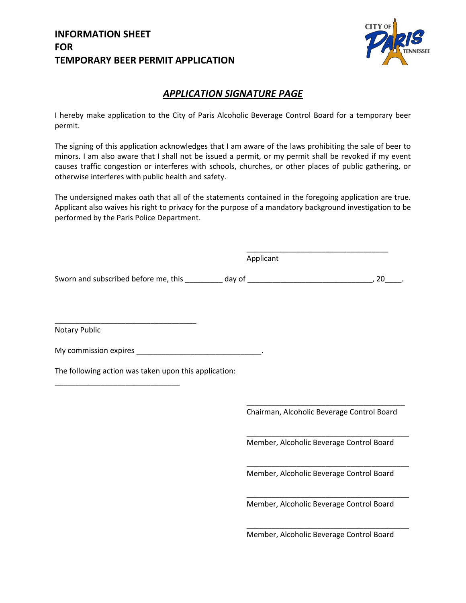

#### *APPLICATION SIGNATURE PAGE*

I hereby make application to the City of Paris Alcoholic Beverage Control Board for a temporary beer permit.

The signing of this application acknowledges that I am aware of the laws prohibiting the sale of beer to minors. I am also aware that I shall not be issued a permit, or my permit shall be revoked if my event causes traffic congestion or interferes with schools, churches, or other places of public gathering, or otherwise interferes with public health and safety.

The undersigned makes oath that all of the statements contained in the foregoing application are true. Applicant also waives his right to privacy for the purpose of a mandatory background investigation to be performed by the Paris Police Department.

Applicant

Sworn and subscribed before me, this \_\_\_\_\_\_\_\_\_ day of \_\_\_\_\_\_\_\_\_\_\_\_\_\_\_\_\_\_\_\_\_\_\_\_\_\_\_\_\_\_\_\_, 20\_\_\_\_.

\_\_\_\_\_\_\_\_\_\_\_\_\_\_\_\_\_\_\_\_\_\_\_\_\_\_\_\_\_\_\_\_\_\_ Notary Public

My commission expires \_\_\_\_\_\_\_\_\_\_\_\_\_\_\_\_\_\_\_\_\_\_\_\_\_\_\_\_\_\_.

The following action was taken upon this application:

\_\_\_\_\_\_\_\_\_\_\_\_\_\_\_\_\_\_\_\_\_\_\_\_\_\_\_\_\_\_

\_\_\_\_\_\_\_\_\_\_\_\_\_\_\_\_\_\_\_\_\_\_\_\_\_\_\_\_\_\_\_\_\_\_\_\_\_\_ Chairman, Alcoholic Beverage Control Board

\_\_\_\_\_\_\_\_\_\_\_\_\_\_\_\_\_\_\_\_\_\_\_\_\_\_\_\_\_\_\_\_\_\_

Member, Alcoholic Beverage Control Board

\_\_\_\_\_\_\_\_\_\_\_\_\_\_\_\_\_\_\_\_\_\_\_\_\_\_\_\_\_\_\_\_\_\_\_\_\_\_\_

\_\_\_\_\_\_\_\_\_\_\_\_\_\_\_\_\_\_\_\_\_\_\_\_\_\_\_\_\_\_\_\_\_\_\_\_\_\_\_

\_\_\_\_\_\_\_\_\_\_\_\_\_\_\_\_\_\_\_\_\_\_\_\_\_\_\_\_\_\_\_\_\_\_\_\_\_\_\_

\_\_\_\_\_\_\_\_\_\_\_\_\_\_\_\_\_\_\_\_\_\_\_\_\_\_\_\_\_\_\_\_\_\_\_\_\_\_\_

Member, Alcoholic Beverage Control Board

Member, Alcoholic Beverage Control Board

Member, Alcoholic Beverage Control Board